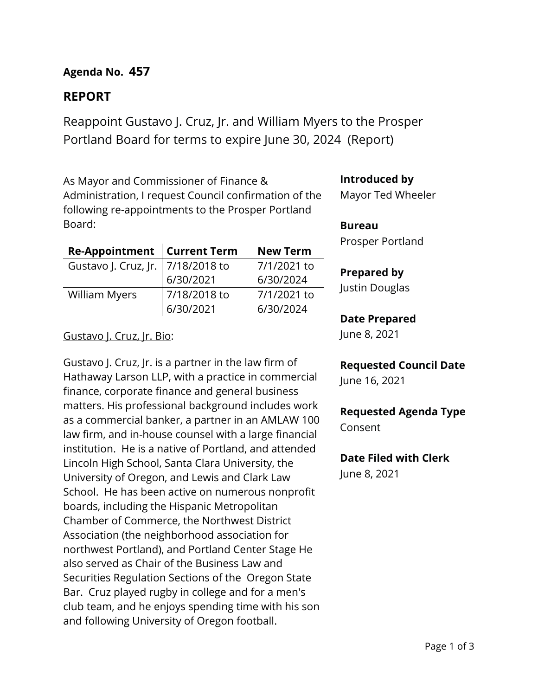# **Agenda No. 457**

# **REPORT**

Reappoint Gustavo J. Cruz, Jr. and William Myers to the Prosper Portland Board for terms to expire June 30, 2024 (Report)

As Mayor and Commissioner of Finance & Administration, I request Council confirmation of the following re-appointments to the Prosper Portland Board:

| Re-Appointment   Current Term       |              | <b>New Term</b> |  |
|-------------------------------------|--------------|-----------------|--|
| Gustavo J. Cruz, Jr.   7/18/2018 to |              | 7/1/2021 to     |  |
|                                     | 6/30/2021    | 6/30/2024       |  |
| William Myers                       | 7/18/2018 to | 7/1/2021 to     |  |
|                                     | 6/30/2021    | 6/30/2024       |  |

## Gustavo J. Cruz, Jr. Bio:

Gustavo J. Cruz, Jr. is a partner in the law firm of Hathaway Larson LLP, with a practice in commercial finance, corporate finance and general business matters. His professional background includes work as a commercial banker, a partner in an AMLAW 100 law firm, and in-house counsel with a large financial institution. He is a native of Portland, and attended Lincoln High School, Santa Clara University, the University of Oregon, and Lewis and Clark Law School. He has been active on numerous nonprofit boards, including the Hispanic Metropolitan Chamber of Commerce, the Northwest District Association (the neighborhood association for northwest Portland), and Portland Center Stage He also served as Chair of the Business Law and Securities Regulation Sections of the Oregon State Bar. Cruz played rugby in college and for a men's club team, and he enjoys spending time with his son and following University of Oregon football.

## **Introduced by**

Mayor Ted Wheeler

### **Bureau**

Prosper Portland

### **Prepared by**

Justin Douglas

### **Date Prepared**

June 8, 2021

# **Requested Council Date**

June 16, 2021

## **Requested Agenda Type** Consent

## **Date Filed with Clerk**

June 8, 2021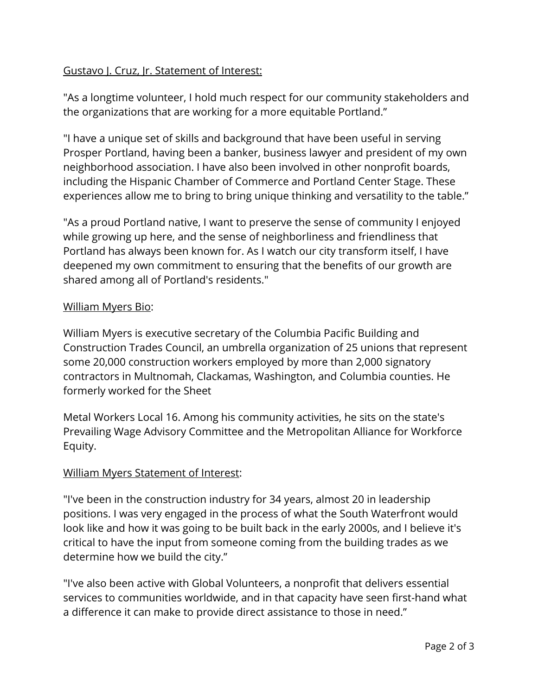# Gustavo J. Cruz, Jr. Statement of Interest:

"As a longtime volunteer, I hold much respect for our community stakeholders and the organizations that are working for a more equitable Portland."

"I have a unique set of skills and background that have been useful in serving Prosper Portland, having been a banker, business lawyer and president of my own neighborhood association. I have also been involved in other nonprofit boards, including the Hispanic Chamber of Commerce and Portland Center Stage. These experiences allow me to bring to bring unique thinking and versatility to the table."

"As a proud Portland native, I want to preserve the sense of community I enjoyed while growing up here, and the sense of neighborliness and friendliness that Portland has always been known for. As I watch our city transform itself, I have deepened my own commitment to ensuring that the benefits of our growth are shared among all of Portland's residents."

# William Myers Bio:

William Myers is executive secretary of the Columbia Pacific Building and Construction Trades Council, an umbrella organization of 25 unions that represent some 20,000 construction workers employed by more than 2,000 signatory contractors in Multnomah, Clackamas, Washington, and Columbia counties. He formerly worked for the Sheet

Metal Workers Local 16. Among his community activities, he sits on the state's Prevailing Wage Advisory Committee and the Metropolitan Alliance for Workforce Equity.

# William Myers Statement of Interest:

"I've been in the construction industry for 34 years, almost 20 in leadership positions. I was very engaged in the process of what the South Waterfront would look like and how it was going to be built back in the early 2000s, and I believe it's critical to have the input from someone coming from the building trades as we determine how we build the city."

"I've also been active with Global Volunteers, a nonprofit that delivers essential services to communities worldwide, and in that capacity have seen first-hand what a difference it can make to provide direct assistance to those in need."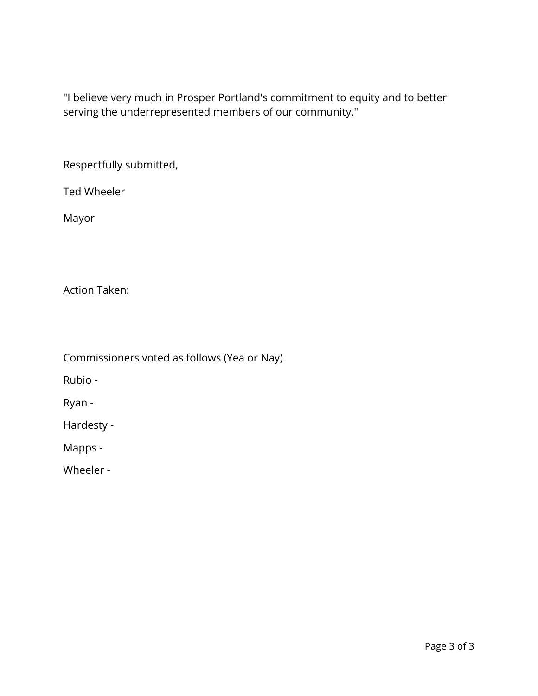"I believe very much in Prosper Portland's commitment to equity and to better serving the underrepresented members of our community."

Respectfully submitted,

Ted Wheeler

Mayor

Action Taken:

Commissioners voted as follows (Yea or Nay)

Rubio -

Ryan -

Hardesty -

Mapps -

Wheeler -